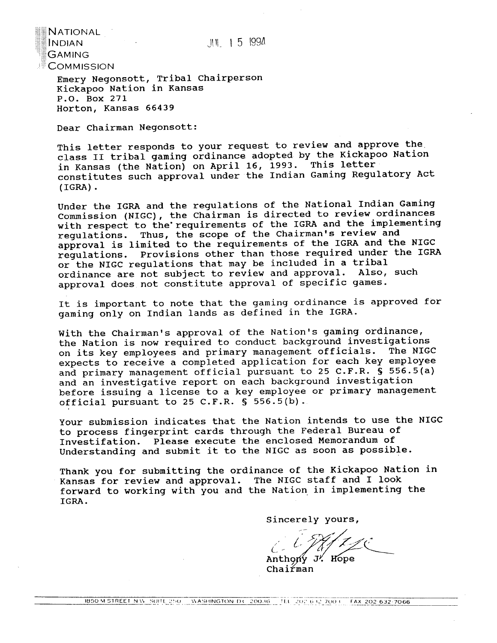$111 + 5$  1994

 $N$ ational $\blacksquare$  $\parallel$ ا GAMING  $\mathbb C$ OMMISSION

> Emery Negonsott, Tribal Chairperson Kickapoo Nation in Kansas P.O. Box 271 Horton, Kansas 66439

Dear Chairman Negonsott:

This letter responds to your request to review and approve the class I1 tribal gaming ordinance adopted by the Kickapoo Nation in Kansas (the Nation) on April 16, 1993. This letter constitutes such approval under the Indian Gaming Regulatory Act (IGRA) .

Under the IGRA and the regulations of the National Indian Gaming Commission (NIGC), the chairman is directed to review ordinances with respect to the'requirements of the IGRA and the implementing regulations. Thus, the scope of the Chairman's review and approval is limited to the requirements of the IGRA and the NIGC regulations. Provisions other than those required under the IGRA or the NIGC regulations that may be included in a tribal ordinance are not subject to review and approval. Also, such approval does not constitute approval of specific games.

It is important to note that the gaming ordinance is approved for gaming only on Indian lands as defined in the IGRA.

With the Chairman's approval of the Nation's gaming ordinance, the Nation is now required to conduct background investigations on its key employees and primary management officials. The NIGC expects to receive a completed application for each key employee and primary management official pursuant to 25 C.F.R. *S* 556.5(a) and an investigative report on each background investigation before issuing a license to a key employee or primary management official pursuant to 25 C.F.R. **S** 556.5(b).

Your submission indicates that the Nation intends to use the NIGC to process fingerprint cards through the Federal Bureau of Investifation. Please execute the enclosed Memorandum of Understanding and submit it to the NIGC as soon as possible.

Thank you for submitting the ordinance of the Kickapoo Nation in Kansas for review and approval. The NIGC staff and I look forward to working with you and the Nation in implementing the IGRA.

Sincerely yours,

 $\mathcal{L}$  -

Anthony J. Hope<br>Chairman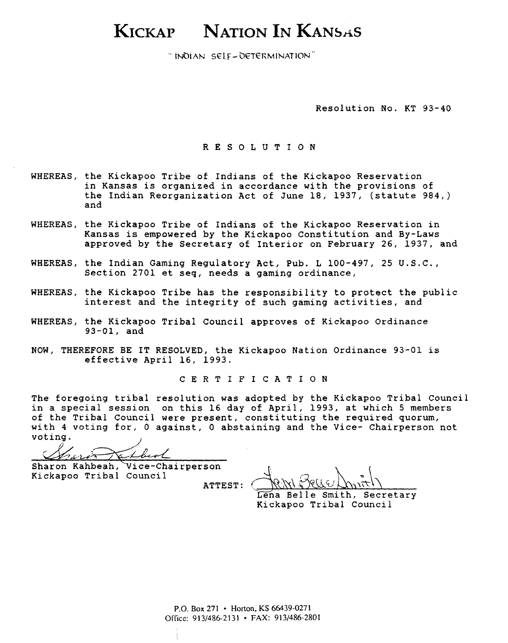# KICKAP NATION IN KANSAS

"INDIAN SELF-DETERMINATION"

Resolution No. KT 93-40

RESOLUTION

- WHEREAS, the Kickapoo Tribe of Indians of the Kickapoo Reservation in Kansas is organized in accordance with the provisions of the Indian Reorganization Act of June 18, 1937, (statute 984,) and
- WHEREAS, the Kickapoo Tribe of Indians of the Kickapoo Reservation in Kansas is empowered by the Kickapoo Constitution and By-Laws approved by the Secretary of Interior on February 26, 1937, and
- WHEREAS, the Indian Gaming Regulatory Act, Pub. L 100-497, 25 U.S.C., Section 2701 et seq, needs a gaming ordinance,
- WHEREAS, the Kickapoo Tribe has the responsibility to protect the public interest and the integrity of such gaming activities, and
- WHEREAS, the Kickapoo Tribal Council approves of Kickapoo Ordinance 93-01, and
- NOW, THEREFORE BE IT RESOLVED, the Kickapoo Nation Ordinance 93-01 is effective April 16, 1993.

CERTIFICATION

The foregoing tribal resolution was adopted by the Kickapoo Tribal Council in a special session on this 16 day of April, 1993, at which 5 members of the Tribal Council were present, constituting the required quorum, with 4 voting for, 0 against, 0 abstaining and the Vice- Chairperson not voting.

atbest

Sharon **Kahbeah,'Vice-chairperson**  Kickapoo Tribal Council ATTEST:

Lena Belle Smith, Secretary Kickapoo Tribal Council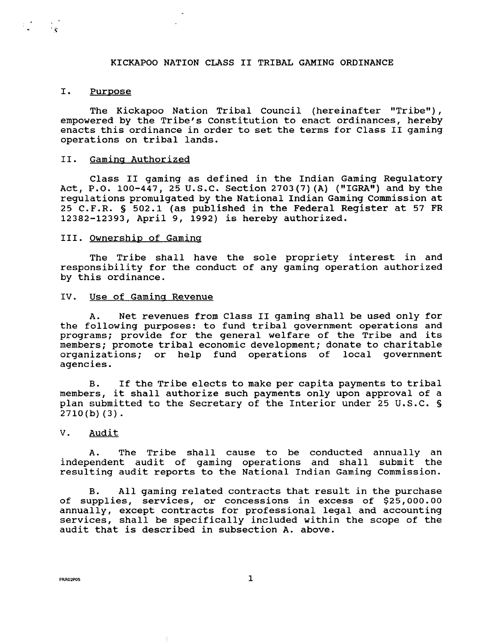# KICKAPOO NATION CLASS I1 TRIBAL GAMING ORDINANCE

## I. Purpose

The Kickapoo Nation Tribal Council (hereinafter "Tribe"), empowered by the Tribe's Constitution to enact ordinances, hereby enacts this ordinance in order to set the terms for Class II gaming operations on tribal lands.

#### 11. Gamina Authorized

Class I1 gaming as defined in the Indian Gaming Regulatory Act, P.O. 100-447, 25 U.S.C. Section 2703 (7) **(A)** (I1IGRAw) and by the regulations promulgated by the National Indian Gaming Commission at 25 C. F.R. § 502.1 (as published in the Federal Register at 57 FR 12382-12393, April 9, 1992) is hereby authorized.

#### 111. Ownership of Gaminq

The Tribe shall have the sole propriety interest in and responsibility for the conduct of any gaming operation authorized by this ordinance.

#### IV. Use of Gaming Revenue

A. Net revenues from Class I1 gaming shall be used only for the following purposes: to fund tribal government operations and programs; provide for the general welfare of the Tribe and its members; promote tribal economic development; donate to charitable organizations; or help fund operations of local government agencies.

B. If the Tribe elects to make per capita payments to tribal members, it shall authorize such payments only upon approval of a plan submitted to the Secretary of the Interior under 25 U.S.C. *S*   $2710(b)(3)$ .

# V. Audit

**A.** The Tribe shall cause to be conducted annually an independent audit of gaming operations and shall submit the resulting audit reports to the National Indian Gaming Commission.

B. All gaming related contracts that result in the purchase of supplies, services, or concessions in excess of \$25,000.00 annually, except contracts for professional legal and accounting services, shall be specifically included within the scope of the audit that is described in subsection A. above.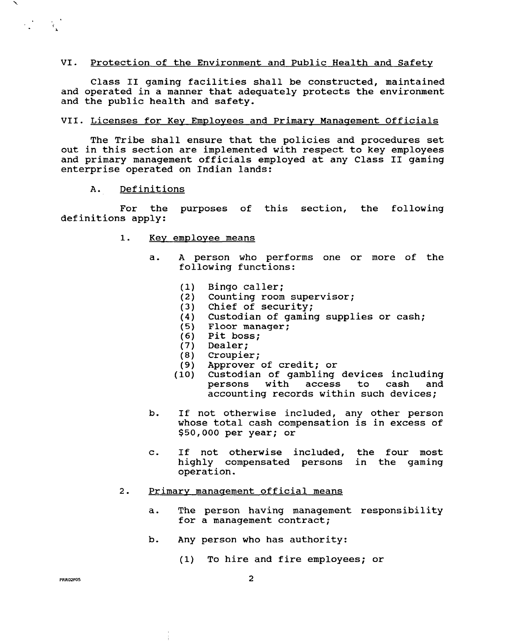#### Protection of the Environment and Public Health and Safety VI.

Class I1 gaming facilities shall be constructed, maintained and operated in a manner that adequately protects the environment and the public health and safety.

#### VII. Licenses for Key Employees and Primary Management Officials

The Tribe shall ensure that the policies and procedures set out in this section are implemented with respect to key employees and primary management officials employed at any Class I1 gaming enterprise operated on Indian lands:

A. Definitions

 $\mathcal{L}^{\text{max}}_{\text{max}}$ 

For the purposes of this section, the following definitions apply:

- 1. Key employee means
	- a. A person who performs one or more of the following functions:
		- $(1)$ Bingo caller;
		- $(2)$ Counting room supervisor;
		- Chief of security;  $(3)$
		- Custodian of gaming supplies or cash;
		- $(5)$ Floor manager;
		- $(6)$ Pit boss;
		- $(7)$ Dealer;
		- $(8)$ Croupier;
		- $(9)$ Approver of credit; or
		- Custodian of gambling devices including  $(10)$ persons with access to cash and accounting records within such devices;
	- b. If not otherwise included, any other person whose total cash compensation is in excess of \$50,000 per year; or
	- c. If not otherwise included, the four most highly compensated persons in the gaming operation.

# 2. Primary management official means

- a. The person having management responsibility for a management contract;
- b. Any person who has authority:
	- (1) To hire and fire employees; or

**PRR02F05**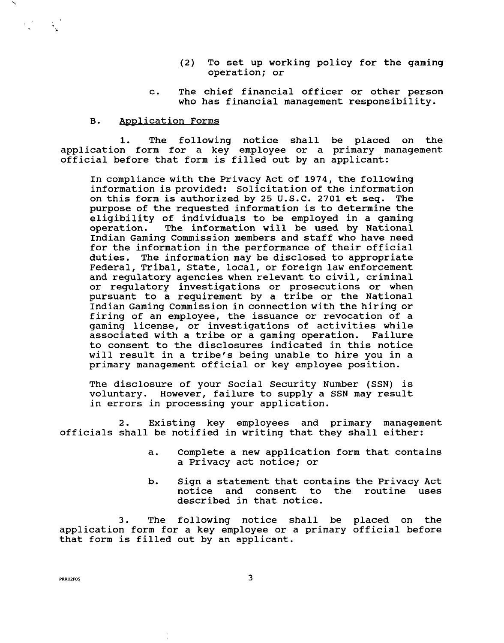- (2) To set up working policy for the gaming operation; or
- c. The chief financial officer or other person who has financial management responsibility.

# B. Application Forms

 $\label{eq:2} \mathcal{E}^{(1)}_{\mathbf{k}} = -\mathcal{E}_{\mathbf{k}}$ 

1. The following notice shall be placed on the application form for a key employee or a primary management official before that form is filled out by an applicant:

In compliance with the Privacy Act of 1974, the following information is provided: Solicitation of the information on this form is authorized by 25 U.S.C. 2701 et seq. The purpose of the requested information is to determine the eligibility of individuals to be employed in a gaming operation. The information will be used by National The information will be used by National Indian Gaming Commission members and staff who have need for the information in the performance of their official duties. The information may be disclosed to appropriate Federal, Tribal, State, local, or foreign law enforcement and regulatory agencies when relevant to civil, criminal or regulatory investigations or prosecutions or when pursuant to a requirement by a tribe or the National Indian Gaming Commission in connection with the hiring or firing of an employee, the issuance or revocation of a gaming license, or investigations of activities while associated with a tribe or a gaming operation. Failure to consent to the disclosures indicated in this notice will result in a tribe's being unable to hire you in a primary management official or key employee position.

The disclosure of your Social Security Number (SSN) is voluntary. However, failure to supply a SSN may result in errors in processing your application.

2. Existing key employees and primary management officials shall be notified in writing that they shall either:

- a. Complete a new application form that contains a Privacy act notice; or
- b. Sign a statement that contains the Privacy Act notice and consent to the routine uses described in that notice.

3. The following notice shall be placed on the application form for a key employee or a primary official before that form is filled out by an applicant.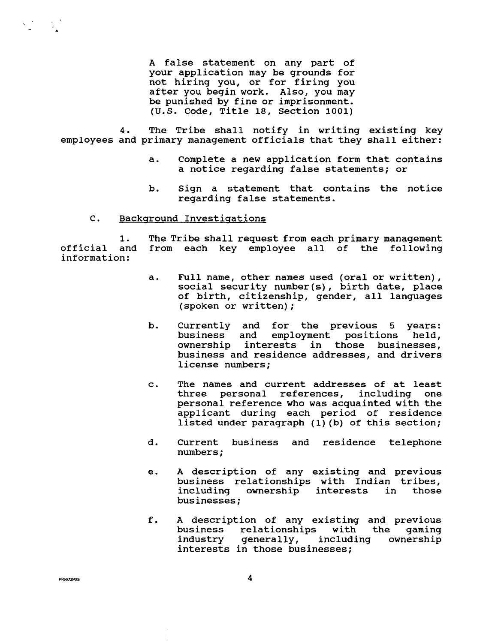A false statement on any part of your application may be grounds for not hiring you, or for firing you after you begin work. Also, you may be punished by fine or imprisonment. (U.S. Code, Title 18, Section 1001)

**4.** The Tribe shall notify in writing existing key employees and primary management officials that they shall either:

- a. Complete a new application form that contains a notice regarding false statements; or
- b. Sign a statement that contains the notice regarding false statements.
- $\mathbf{C}$ . Backaround Investiaations

1. The Tribe shall request from each primary management official and from each key employee all of the following information:

- a. Full name, other names used (oral or written), social security number (s) , birth date, place of birth, citizenship, gender, all languages (spoken or written) ;
- b. Currently and for the previous 5 years:<br>business and employment positions held, employment positions ownership interests in those businesses, business and residence addresses, and drivers license numbers;
- c. The names and current addresses of at least three personal references, including one personal reference who was acquainted with the applicant during each period of residence listed under paragraph (1) (b) of this section;
- d. Current business and residence telephone Current
- e. A description of any existing and previous business relationships with Indian tribes,<br>including ownership interests in those ownership interests businesses;
- f. **A** description of any existing and previous business relationships with the gaming<br>industry generally, including ownership generally, including interests in those businesses;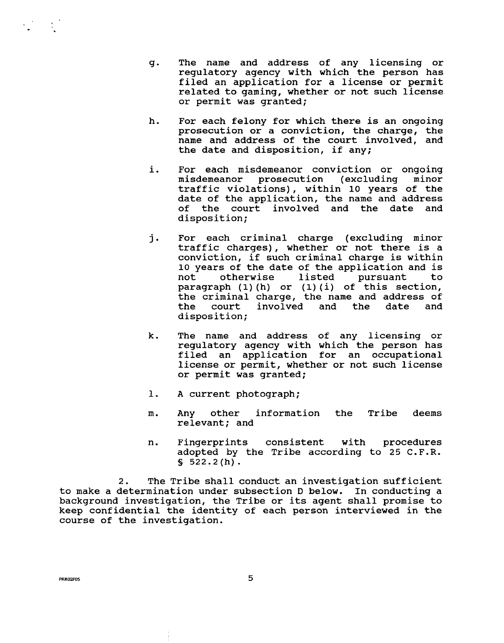- g. The name and address of any licensing or regulatory agency with which the person has filed an application for a license or permit related to gaming, whether or not such license or permit was granted;
- h. For each felony for which there is an ongoing prosecution or a conviction, the charge, the name and address of the court involved, and the date and disposition, if any;
- i. For each misdemeanor conviction or ongoing misdemeanor prosecution (excluding minor traffic violations), within **10** years of the date of the application, the name and address of the court involved and the date and disposition;
- For each criminal charge (excluding minor j. traffic charges), whether or not there is a conviction, if such criminal charge is within **10** years of the date of the application and is not otherwise listed pursuant to paragraph (1) (h) or (1) (i) of this section, the criminal charge, the name and address of the court involved and the date and disposition;
- k. The name and address of any licensing or regulatory agency with which the person has filed an application for an occupational license or permit, whether or not such license or permit was granted;
- 1. **A** current photograph;
- m. Any other information the Tribe deems relevant; and
- n. Fingerprints consistent with procedures adopted by the Tribe according to 25 C.F.R.  $$522.2(h).$

2. The Tribe shall conduct an investigation sufficient to make a determination under subsection D below. In conducting a background investigation, the Tribe or its agent shall promise to keep confidential the identity of each person interviewed in the course of the investigation.

PRRO2P05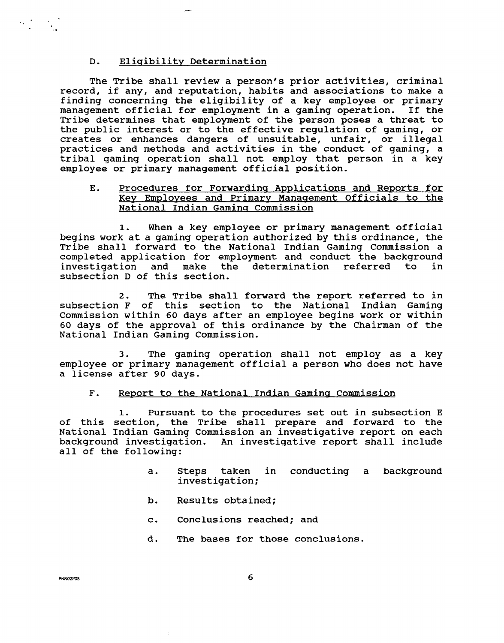# D. Eligibility Determination

The Tribe shall review a person's prior activities, criminal record, if any, and reputation, habits and associations to make a finding concerning the eligibility of a key employee or primary management official for employment in a gaming operation. If the Tribe determines that employment of the person poses a threat to the public interest or to the effective regulation of gaming, or creates or enhances dangers of unsuitable, unfair, or illegal practices and methods and activities in the conduct of gaming, a tribal gaming operation shall not employ that person in a key employee or primary management official position.

# E. Procedures for Forwarding Applications and Reports for Key Employees and Primary Management Officials to the National Indian Gamina Commission

**1.** When a key employee or primary management official begins work at a gaming operation authorized by this ordinance, the Tribe shall forward to the National Indian Gaming Commission a completed application for employment and conduct the background<br>investigation and make the determination referred to in the determination referred subsection D of this section.

2. The Tribe shall forward the report referred to in subsection F of this section to the National Indian Gaming Commission within 60 days after an employee begins work or within 60 days of the approval of this ordinance by the Chairman of the National Indian Gaming Commission.

3. The gaming operation shall not employ as a key employee or primary management official a person who does not have a license after 90 days.

# F. Report to the National Indian Gaming Commission

1. Pursuant to the procedures set out in subsection E of this section, the Tribe shall prepare and forward to the National Indian Gaming Commission an investigative report on each background investigation. An investigative report shall include all of the following:

- a. Steps taken in conducting a background investigation;
- b. Results obtained;
- c. Conclusions reached; and
- d. The bases for those conclusions.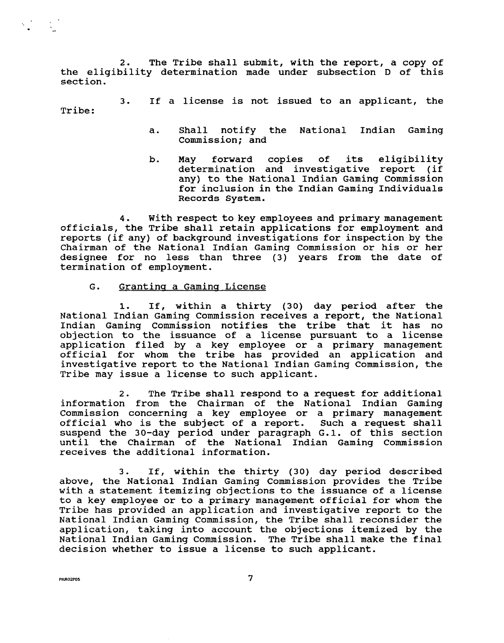2. The Tribe shall submit, with the report, a copy of the eligibility determination made under subsection D of this section.

3. If a license is not issued to an applicant, the Tribe:

- a. Shall notify the National Indian Gaming Commission; and
- b. May forward copies of its eligibility determination and investigative report (if any) to the National Indian Gaming Commission for inclusion in the Indian Gaming Individuals Records System.

**4.** With respect to key employees and primary management officials, the Tribe shall retain applications for employment and reports (if any) of background investigations for inspection by the Chairman of the National Indian Gaming Commission or his or her designee for no less than three (3) years from the date of termination of employment.

G. Granting a Gaming License

1. If, within a thirty (30) day period after the National Indian Gaming Commission receives a report, the National Indian Gaming Commission notifies the tribe that it has no objection to the issuance of a license pursuant to a license application filed by a key employee or a primary management official for whom the tribe has provided an application and investigative report to the National Indian Gaming Commission, the Tribe may issue a license to such applicant.

**2.** The Tribe shall respond to a request for additional information from the Chairman of the National Indian Gaming Commission concerning a key employee or a primary management official who is the subject of a report. Such a request shall suspend the 30-day period under paragraph G.1. of this section until the Chairman of the National Indian Gaming Commission receives the additional information.

3. If, within the thirty (30) day period described above, the National Indian Gaming Commission provides the Tribe with a statement itemizing objections to the issuance of a license to a key employee or to a primary management official for whom the Tribe has provided an application and investigative report to the National Indian Gaming Commission, the Tribe shall reconsider the application, taking into account the objections itemized by the National Indian Gaming Commission. The Tribe shall make the final decision whether to issue a license to such applicant.

PRRO2PO5